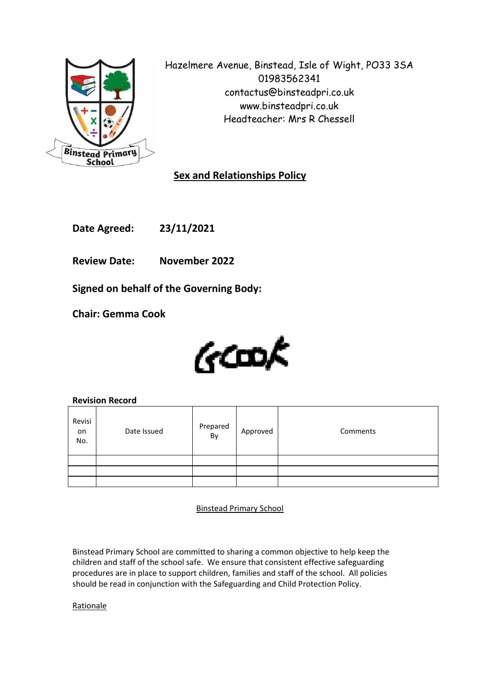

Hazelmere Avenue, Binstead, Isle of Wight, PO33 3SA 01983562341 contactus@binsteadpri.co.uk www.binsteadpri.co.uk Headteacher: Mrs R Chessell

# **Sex and Relationships Policy**

**Date Agreed: 23/11/2021**

**Review Date: November 2022**

**Signed on behalf of the Governing Body:**

**Chair: Gemma Cook**



# **Revision Record**

| Revisi<br>on<br>No. | Date Issued | Prepared<br>By | Approved | Comments |
|---------------------|-------------|----------------|----------|----------|
|                     |             |                |          |          |
|                     |             |                |          |          |
|                     |             |                |          |          |

Binstead Primary School

Binstead Primary School are committed to sharing a common objective to help keep the children and staff of the school safe. We ensure that consistent effective safeguarding procedures are in place to support children, families and staff of the school. All policies should be read in conjunction with the Safeguarding and Child Protection Policy.

Rationale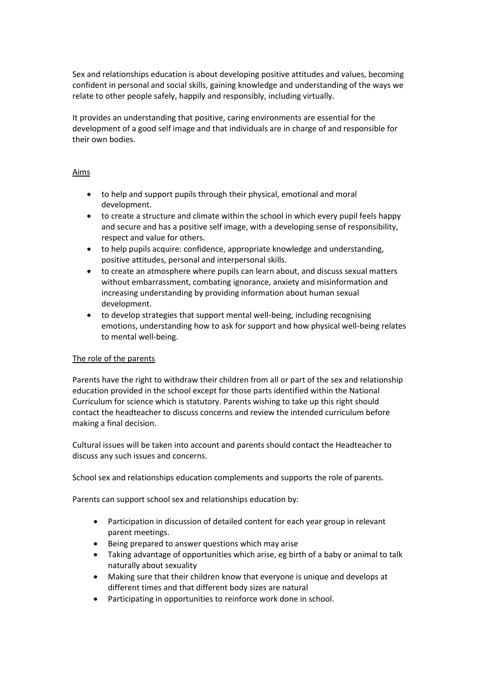Sex and relationships education is about developing positive attitudes and values, becoming confident in personal and social skills, gaining knowledge and understanding of the ways we relate to other people safely, happily and responsibly, including virtually.

It provides an understanding that positive, caring environments are essential for the development of a good self image and that individuals are in charge of and responsible for their own bodies.

## Aims

- to help and support pupils through their physical, emotional and moral development.
- to create a structure and climate within the school in which every pupil feels happy and secure and has a positive self image, with a developing sense of responsibility, respect and value for others.
- to help pupils acquire: confidence, appropriate knowledge and understanding, positive attitudes, personal and interpersonal skills.
- to create an atmosphere where pupils can learn about, and discuss sexual matters without embarrassment, combating ignorance, anxiety and misinformation and increasing understanding by providing information about human sexual development.
- to develop strategies that support mental well-being, including recognising emotions, understanding how to ask for support and how physical well-being relates to mental well-being.

# The role of the parents

Parents have the right to withdraw their children from all or part of the sex and relationship education provided in the school except for those parts identified within the National Curriculum for science which is statutory. Parents wishing to take up this right should contact the headteacher to discuss concerns and review the intended curriculum before making a final decision.

Cultural issues will be taken into account and parents should contact the Headteacher to discuss any such issues and concerns.

School sex and relationships education complements and supports the role of parents.

Parents can support school sex and relationships education by:

- Participation in discussion of detailed content for each year group in relevant parent meetings.
- Being prepared to answer questions which may arise
- Taking advantage of opportunities which arise, eg birth of a baby or animal to talk naturally about sexuality
- Making sure that their children know that everyone is unique and develops at different times and that different body sizes are natural
- Participating in opportunities to reinforce work done in school.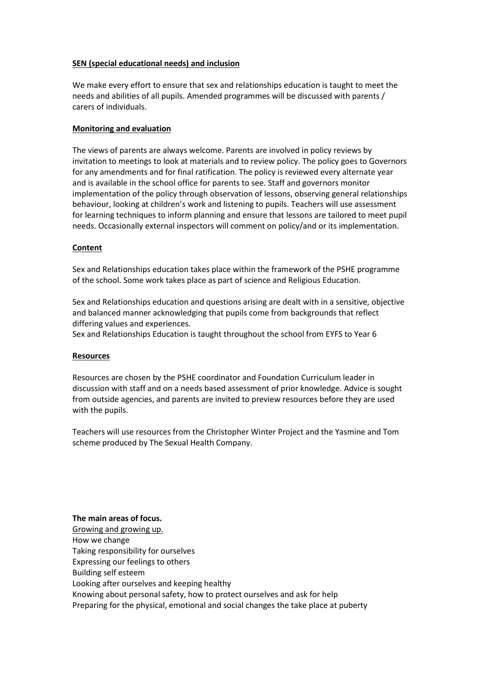## **SEN (special educational needs) and inclusion**

We make every effort to ensure that sex and relationships education is taught to meet the needs and abilities of all pupils. Amended programmes will be discussed with parents / carers of individuals.

## **Monitoring and evaluation**

The views of parents are always welcome. Parents are involved in policy reviews by invitation to meetings to look at materials and to review policy. The policy goes to Governors for any amendments and for final ratification. The policy is reviewed every alternate year and is available in the school office for parents to see. Staff and governors monitor implementation of the policy through observation of lessons, observing general relationships behaviour, looking at children's work and listening to pupils. Teachers will use assessment for learning techniques to inform planning and ensure that lessons are tailored to meet pupil needs. Occasionally external inspectors will comment on policy/and or its implementation.

## **Content**

Sex and Relationships education takes place within the framework of the PSHE programme of the school. Some work takes place as part of science and Religious Education.

Sex and Relationships education and questions arising are dealt with in a sensitive, objective and balanced manner acknowledging that pupils come from backgrounds that reflect differing values and experiences.

Sex and Relationships Education is taught throughout the school from EYFS to Year 6

### **Resources**

Resources are chosen by the PSHE coordinator and Foundation Curriculum leader in discussion with staff and on a needs based assessment of prior knowledge. Advice is sought from outside agencies, and parents are invited to preview resources before they are used with the pupils.

Teachers will use resources from the Christopher Winter Project and the Yasmine and Tom scheme produced by The Sexual Health Company.

**The main areas of focus.** Growing and growing up. How we change Taking responsibility for ourselves Expressing our feelings to others Building self esteem Looking after ourselves and keeping healthy Knowing about personal safety, how to protect ourselves and ask for help Preparing for the physical, emotional and social changes the take place at puberty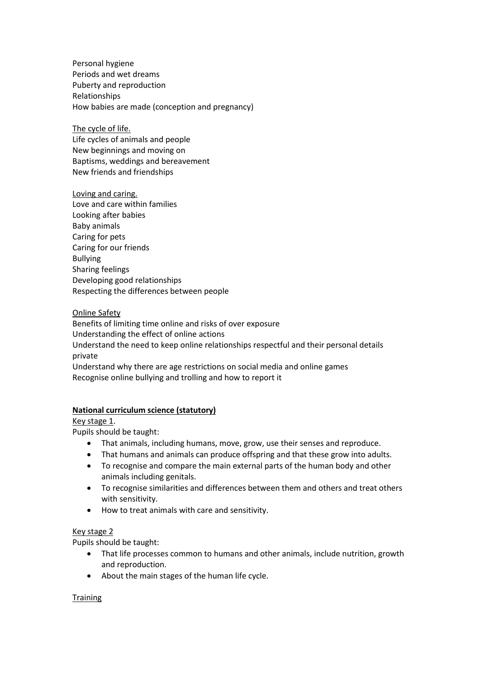Personal hygiene Periods and wet dreams Puberty and reproduction Relationships How babies are made (conception and pregnancy)

The cycle of life. Life cycles of animals and people New beginnings and moving on Baptisms, weddings and bereavement New friends and friendships

Loving and caring. Love and care within families Looking after babies Baby animals Caring for pets Caring for our friends Bullying Sharing feelings Developing good relationships Respecting the differences between people

### Online Safety

Benefits of limiting time online and risks of over exposure Understanding the effect of online actions Understand the need to keep online relationships respectful and their personal details private Understand why there are age restrictions on social media and online games Recognise online bullying and trolling and how to report it

### **National curriculum science (statutory)**

Key stage 1.

Pupils should be taught:

- That animals, including humans, move, grow, use their senses and reproduce.
- That humans and animals can produce offspring and that these grow into adults.
- To recognise and compare the main external parts of the human body and other animals including genitals.
- To recognise similarities and differences between them and others and treat others with sensitivity.
- How to treat animals with care and sensitivity.

#### Key stage 2

Pupils should be taught:

- That life processes common to humans and other animals, include nutrition, growth and reproduction.
- About the main stages of the human life cycle.

#### **Training**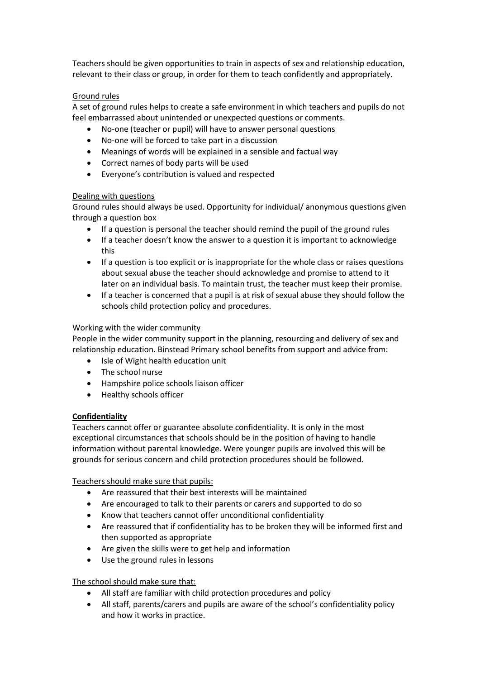Teachers should be given opportunities to train in aspects of sex and relationship education, relevant to their class or group, in order for them to teach confidently and appropriately.

## Ground rules

A set of ground rules helps to create a safe environment in which teachers and pupils do not feel embarrassed about unintended or unexpected questions or comments.

- No-one (teacher or pupil) will have to answer personal questions
- No-one will be forced to take part in a discussion
- Meanings of words will be explained in a sensible and factual way
- Correct names of body parts will be used
- Everyone's contribution is valued and respected

### Dealing with questions

Ground rules should always be used. Opportunity for individual/ anonymous questions given through a question box

- If a question is personal the teacher should remind the pupil of the ground rules
- If a teacher doesn't know the answer to a question it is important to acknowledge this
- If a question is too explicit or is inappropriate for the whole class or raises questions about sexual abuse the teacher should acknowledge and promise to attend to it later on an individual basis. To maintain trust, the teacher must keep their promise.
- If a teacher is concerned that a pupil is at risk of sexual abuse they should follow the schools child protection policy and procedures.

## Working with the wider community

People in the wider community support in the planning, resourcing and delivery of sex and relationship education. Binstead Primary school benefits from support and advice from:

- Isle of Wight health education unit
- The school nurse
- Hampshire police schools liaison officer
- Healthy schools officer

### **Confidentiality**

Teachers cannot offer or guarantee absolute confidentiality. It is only in the most exceptional circumstances that schools should be in the position of having to handle information without parental knowledge. Were younger pupils are involved this will be grounds for serious concern and child protection procedures should be followed.

Teachers should make sure that pupils:

- Are reassured that their best interests will be maintained
- Are encouraged to talk to their parents or carers and supported to do so
- Know that teachers cannot offer unconditional confidentiality
- Are reassured that if confidentiality has to be broken they will be informed first and then supported as appropriate
- Are given the skills were to get help and information
- Use the ground rules in lessons

### The school should make sure that:

- All staff are familiar with child protection procedures and policy
- All staff, parents/carers and pupils are aware of the school's confidentiality policy and how it works in practice.